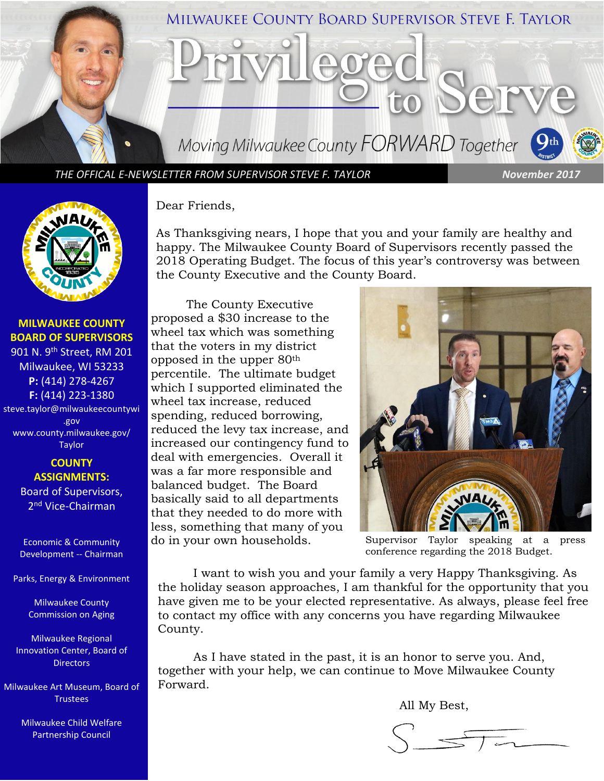

*THE OFFICAL E-NEWSLETTER FROM SUPERVISOR STEVE F. TAYLOR November 2017*



**MILWAUKEE COUNTY BOARD OF SUPERVISORS** 901 N. 9th Street, RM 201 Milwaukee, WI 53233 **P:** (414) 278-4267 **F:** (414) 223-1380 steve.taylor@milwaukeecountywi

.gov [www.county.milwaukee.gov/](http://www.county.milwaukee.gov/Taylor) [Taylor](http://www.county.milwaukee.gov/Taylor)

### **COUNTY ASSIGNMENTS:** Board of Supervisors, 2<sup>nd</sup> Vice-Chairman

Economic & Community Development -- Chairman

Parks, Energy & Environment

Milwaukee County Commission on Aging

Milwaukee Regional Innovation Center, Board of **Directors** 

Milwaukee Art Museum, Board of Trustees

> Milwaukee Child Welfare Partnership Council

Dear Friends,

As Thanksgiving nears, I hope that you and your family are healthy and happy. The Milwaukee County Board of Supervisors recently passed the 2018 Operating Budget. The focus of this year's controversy was between the County Executive and the County Board.

The County Executive proposed a \$30 increase to the wheel tax which was something that the voters in my district opposed in the upper 80th percentile. The ultimate budget which I supported eliminated the wheel tax increase, reduced spending, reduced borrowing, reduced the levy tax increase, and increased our contingency fund to deal with emergencies. Overall it was a far more responsible and balanced budget. The Board basically said to all departments that they needed to do more with less, something that many of you do in your own households. Supervisor Taylor speaking at a press



conference regarding the 2018 Budget.

I want to wish you and your family a very Happy Thanksgiving. As the holiday season approaches, I am thankful for the opportunity that you have given me to be your elected representative. As always, please feel free to contact my office with any concerns you have regarding Milwaukee County.

As I have stated in the past, it is an honor to serve you. And, together with your help, we can continue to Move Milwaukee County Forward.

All My Best,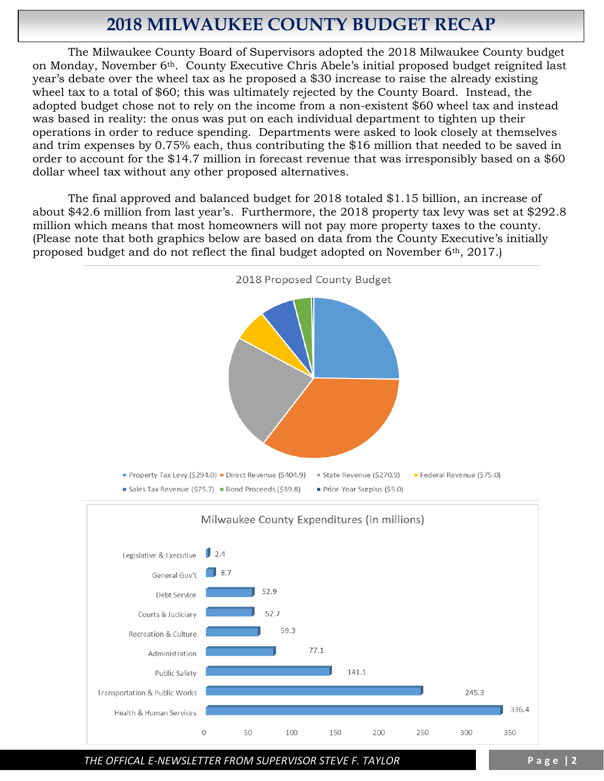# **2018 MILWAUKEE COUNTY BUDGET RECAP**

The Milwaukee County Board of Supervisors adopted the 2018 Milwaukee County budget on Monday, November 6th. County Executive Chris Abele's initial proposed budget reignited last year's debate over the wheel tax as he proposed a \$30 increase to raise the already existing wheel tax to a total of \$60; this was ultimately rejected by the County Board. Instead, the adopted budget chose not to rely on the income from a non-existent \$60 wheel tax and instead was based in reality: the onus was put on each individual department to tighten up their operations in order to reduce spending. Departments were asked to look closely at themselves and trim expenses by 0.75% each, thus contributing the \$16 million that needed to be saved in order to account for the \$14.7 million in forecast revenue that was irresponsibly based on a \$60 dollar wheel tax without any other proposed alternatives.

The final approved and balanced budget for 2018 totaled \$1.15 billion, an increase of about \$42.6 million from last year's. Furthermore, the 2018 property tax levy was set at \$292.8 million which means that most homeowners will not pay more property taxes to the county. (Please note that both graphics below are based on data from the County Executive's initially proposed budget and do not reflect the final budget adopted on November 6th, 2017.)



*THE OFFICAL E-NEWSLETTER FROM SUPERVISOR STEVE F. TAYLOR* **P a g e | 2**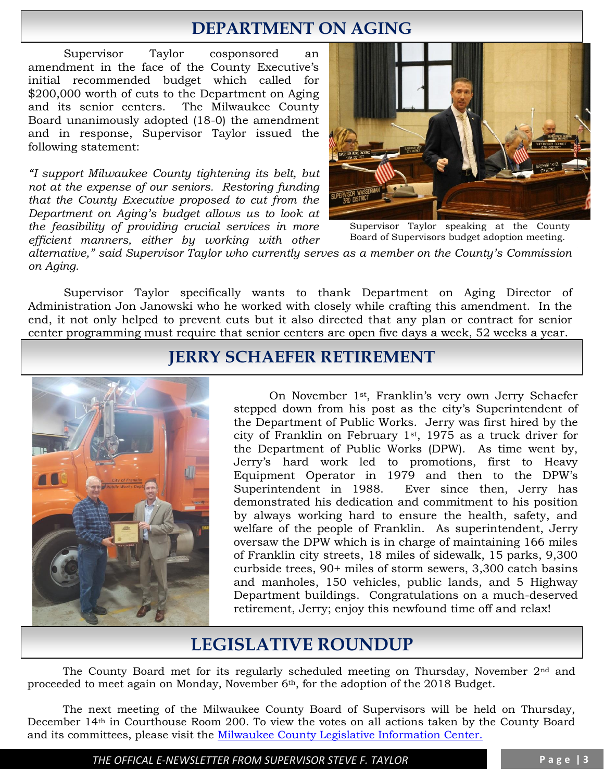# **DEPARTMENT ON AGING**

Supervisor Taylor cosponsored an amendment in the face of the County Executive's initial recommended budget which called for \$200,000 worth of cuts to the Department on Aging and its senior centers. The Milwaukee County Board unanimously adopted (18-0) the amendment and in response, Supervisor Taylor issued the following statement:

*"I support Milwaukee County tightening its belt, but not at the expense of our seniors. Restoring funding that the County Executive proposed to cut from the Department on Aging's budget allows us to look at the feasibility of providing crucial services in more efficient manners, either by working with other*



Supervisor Taylor speaking at the County Board of Supervisors budget adoption meeting.

alternative," said Supervisor Taylor who currently serves as a member on the County's Commission *on Aging.*

Supervisor Taylor specifically wants to thank Department on Aging Director of Administration Jon Janowski who he worked with closely while crafting this amendment. In the end, it not only helped to prevent cuts but it also directed that any plan or contract for senior center programming must require that senior centers are open five days a week, 52 weeks a year.

## **JERRY SCHAEFER RETIREMENT**



On November 1st, Franklin's very own Jerry Schaefer stepped down from his post as the city's Superintendent of the Department of Public Works. Jerry was first hired by the city of Franklin on February 1st, 1975 as a truck driver for the Department of Public Works (DPW). As time went by, Jerry's hard work led to promotions, first to Heavy Equipment Operator in 1979 and then to the DPW's Superintendent in 1988. Ever since then, Jerry has demonstrated his dedication and commitment to his position by always working hard to ensure the health, safety, and welfare of the people of Franklin. As superintendent, Jerry oversaw the DPW which is in charge of maintaining 166 miles of Franklin city streets, 18 miles of sidewalk, 15 parks, 9,300 curbside trees, 90+ miles of storm sewers, 3,300 catch basins and manholes, 150 vehicles, public lands, and 5 Highway Department buildings. Congratulations on a much-deserved retirement, Jerry; enjoy this newfound time off and relax!

# **LEGISLATIVE ROUNDUP**

The County Board met for its regularly scheduled meeting on Thursday, November 2nd and proceeded to meet again on Monday, November 6th, for the adoption of the 2018 Budget.

The next meeting of the Milwaukee County Board of Supervisors will be held on Thursday, December 14th in Courthouse Room 200. To view the votes on all actions taken by the County Board and its committees, please visit the [Milwaukee County Legislative Information Center.](http://milwaukeecounty.legistar.com/Calendar.aspx) 

*THE OFFICAL E-NEWSLETTER FROM SUPERVISOR STEVE F. TAYLOR* **P a g e | 3**